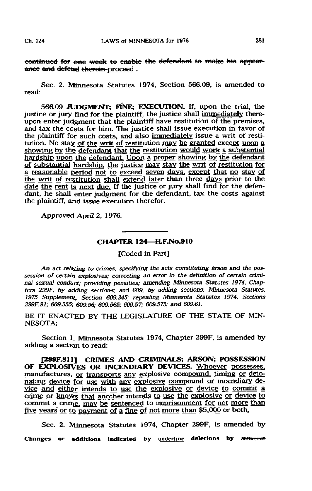continued for one week to enable the defendant to make his appearance and defend therein-proceed.

Sec. 2. Minnesota Statutes 1974, Section 566.09, is amended to read:

566.09 JUDGMENT; FINE; EXECUTION. If, upon the trial, the justice or jury find for the plaintiff, the justice shall immediately thereupon enter judgment that the plaintiff have restitution of the premises. and tax the costs for him. The justice shall issue execution in favor of the plaintiff for such costs, and also immediately issue a writ of restitution. No stay of the writ of restitution may be granted except upon a showing by the defendant that the restitution would work a substantial hardship upon the defendant. Upon a proper showing by the defendant of substantial hardship, the justice may stay the writ of restitution for a reasonable period not to exceed seven days, except that no stay of the writ of restitution shall extend later than three days prior to the date the rent is next due. If the justice or jury shall find for the defendant, he shall enter judgment for the defendant, tax the costs against the plaintiff, and issue execution therefor.

Approved April 2, 1976.

## CHAPTER 124—H.F.No.910

[Coded in Part]

An act relating to crimes; specifying the acts constituting arson and the possession of certain explosives; correcting an error in the definition of certain criminal sexual conduct; providing penalties; amending Minnesota Statutes 1974, Chapters 299F, by adding sections; and 6O9, by adding sections; Minnesota Statutes, 1975 Supplement, Section 6O9.345; repealing Minnesota Statutes 1974, Sections 299F.81; 609.555; 609.56; 609.565; 609.57; 609.575; and 609.61.

BE IT ENACTED BY THE LEGISLATURE OF THE STATE OF MIN-NESOTA:

Section 1. Minnesota Statutes 1974, Chapter 299F, is amended by adding a section to read:

f299F.8H] CRIMES AND CRIMINALS; ARSON; POSSESSION OF EXPLOSIVES OR INCENDIARY DEVICES. Whoever possesses, manufactures, or transports any explosive compound, timing or detonating device for use with any explosive compound or incendiary device and either intends to use the explosive or device to commit a crime or knows that another intends to use the explosive or device to commit a crime, may be sentenced to imprisonment for not more than five years or to payment of a fine of not more than \$5,000 or both.

Sec. 2. Minnesota Statutes 1974, Chapter 299F, is amended by Changes or additions indicated by underline deletions by strikeout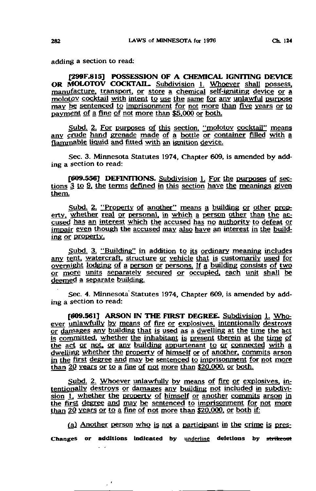adding a section to read:

[299F.815] POSSESSION OF A CHEMICAL IGNITING DEVICE OR MOLOTOV COCKTAIL, Subdivision 1. Whoever shall possess. manufacture, transport, or store a chemical self-igniting device or a molotov cocktail with intent to use the same for any unlawful purpose may be sentenced to imprisonment for not more than five years or to payment of a fine of not more than \$5.000 or both.

Subd. 2. For purposes of this section, "molotov cocktail" means any crude hand grenade made of a bottle or container filled with a flammable liquid and fitted with an ignition device.

Sec. 3. Minnesota Statutes 1974, Chapter 609, is amended by adding a section to read:

[6O9.556] DEFINITIONS. Subdivision 1. For the purposes of sections 3 to 9, the terms defined in this section have the meanings given them.

Subd. 2. "Property of another" means a building or other property, whether real or personal, in which a person other than the accused has an interest which the accused has no authority to defeat or impair even though the accused may also have an interest in the building or property.

Subd. 3. "Building" in addition to its ordinary meaning includes any tent, watercraft. structure or vehicle that is customarily used for overnight lodging of a person or persons. If a. building consists of two or more units separately secured or occupied, each unit shall be deemed a separate building.

Sec. 4. Minnesota'Statutes 1974, Chapter 609, is amended by adding a section to read:

[609.561] ARSON IN THE FIRST DEGREE. Subdivision 1. Whoever unlawfully by means of fire or explosives, intentionally destroys or darriages any building that is used as a dwelling at the time the act is committed, whether the inhabitant is present therein at the time of the act or not, or any building appurtenant to or connected with a dwelling whether the property of himself or of another, commits arson in the first degree and may be sentenced to imprisonment for not more than 20 years or to a fine of not more than \$20.000. or both.

Subd. 2. Whoever unlawfully by means of fire or explosives, intentionally destroys or damages any building not included in subdivision 1, whether the property of himself or another commits arson in the first degree and may be sentenced to imprisonment for not more than  $20$  years or to a fine of not more than  $$20,000$ , or both if:

(aj Another person who is not a participant in the crime is pres-Changes or additions indicated by underline deletions by strikeout

 $\sim$ 

 $\mathbb{R}^d$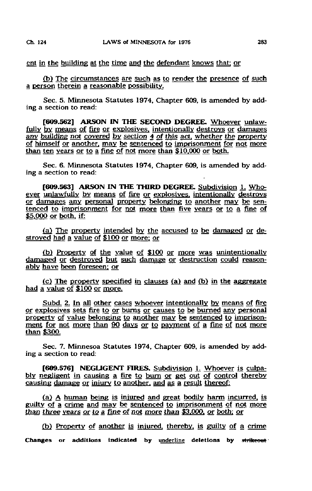ent in the building at the time and the defendant knows that: or

(b) The circumstances are such as to render the presence of such a person therein a reasonable possibility.

Sec. 5. Minnesota Statutes 1974, Chapter 609, is amended by adding a section to read:

[609.562] ARSON IN THE SECOND DEGREE. Whoever unlawfully by means of fire or explosives, intentionally destroys or damages any building not covered by section 4 of this act, whether the property of himself or another, may be sentenced to imprisonment for not more than ten years or to a fine of not more than \$10.000 or both.

Sec. 6. Minnesota Statutes 1974, Chapter 609, is amended by adding a section to read:

[609.563] ARSON IN THE THIRD DEGREE. Subdivision 1, Whoever unlawfully by means of fire or explosives, intentionally destroys or damages any personal property belonging to another may be sentenced to imprisonment for not more than five years or to a fine of \$5.000 or both, if:

fa) The property intended by the accused to be damaged or destroyed had a value of \$100 or more: or

(b) Property of the value of \$100 or more was unintentionally damaged or destroyed but such damage or destruction could reasonably have been foreseen: or

 $(c)$  The property specified in clauses (a) and (b) in the aggregate had a value of \$100 or more.

Subd. 2. In all other cases whoever intentionally by means of fire or explosives sets fire to or burns or causes to be burned any personal property of value belonging to another may be sentenced to imprisonment for not more than 90 days or to payment of a fine of not more than \$300.

Sec. 7. Minnesoa Statutes 1974, Chapter 609, is amended by adding a section to read:

[6O9.576] NEGLIGENT FIRES. Subdivision L Whoever is culpably negligent in causing a fire to bum or get out of control thereby causing damage or injury to another, and as a result thereof:

(a) A human being is injured and great bodily harm incurred, is guilty of a crime and may be sentenced to imprisonment of not more than three years or to a fine of not more than \$3.000. or both: or

(b) Property of another is injured, thereby, is guilty of a crime Changes or additions indicated by underline deletions by strikeout  $\cdot$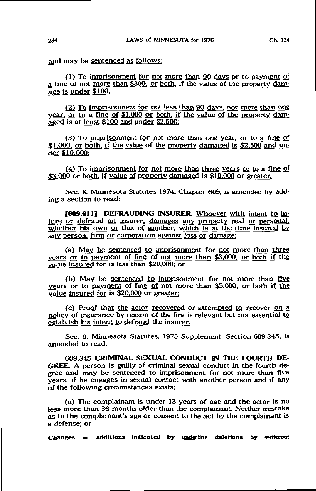and may be sentenced as follows:

(1) To imprisonment for not more than 90 days or to payment of a fine of not more than \$300. or both, if the value of the property damage is under  $$100$ ;

(2) To imprisonment for not less than 90 days, nor more than one year, or to a fine of  $$1,000$  or both, if the value of the property damaged is at least \$100 and under \$2.500:

(3) To imprisonment for not more than one year, or to a fine of \$1,000, or both, if the value of the property damaged is \$2,500 and under \$10,000;

(4) To imprisonment for not more than three years or to a fine of \$3,000 or both, if value of property damaged is \$10,000 or greater.

Sec. 8. Minnesota Statutes 1974, Chapter 609, is amended by adding a section to read:

[609.611] DEFRAUDING INSURER. Whoever with intent to injure or defraud an insurer, damages any property real or personal, whether his own or that of another, which is at the time insured by any person, firm or corporation against loss or damage:

(a) May be sentenced to imprisonment for not more than three years or to payment of fine of not more than \$3.000. or both if the value insured for is less than \$20.000: or

(b) May be sentenced to imprisonment for not more than five years or to payment of fine of not more than \$5.000. or both if the value insured for is \$20,000 or greater;

(c) Proof that the actor recovered or attempted to recover on a policy of insurance by reason of the fire is relevant but not essential to establish his intent to defraud the insurer.

Sec. 9. Minnesota Statutes, 1975 Supplement, Section 609.345, is amended to read:

6O9.345 CRIMINAL SEXUAL CONDUCT IN THE FOURTH DE-GREE. A person is guilty of criminal sexual conduct in the fourth degree and may be sentenced to imprisonment for not more than five years, if he engages in sexual contact with another person and if any of the following circumstances exists:

(a) The complainant is under 13 years of age and the actor is no less-more than 36 months older than the complainant. Neither mistake as to the complainant's age or consent to the act by the complainant is a defense; or

Changes or additions indicated by underline deletions by strikeout